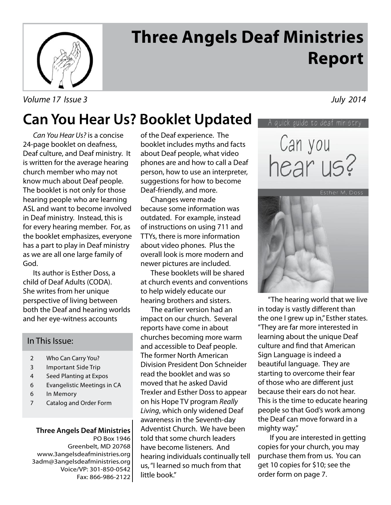

# **Three Angels Deaf Ministries Report**

Volume 17 Issue 3 July 2014

## **Can You Hear Us? Booklet Updated**

Can You Hear Us? is a concise 24-page booklet on deafness, Deaf culture, and Deaf ministry. It is written for the average hearing church member who may not know much about Deaf people. The booklet is not only for those hearing people who are learning ASL and want to become involved in Deaf ministry. Instead, this is for every hearing member. For, as the booklet emphasizes, everyone has a part to play in Deaf ministry as we are all one large family of God.

 Its author is Esther Doss, a child of Deaf Adults (CODA). She writes from her unique perspective of living between both the Deaf and hearing worlds and her eye-witness accounts

#### In This Issue:

- 2 Who Can Carry You?
- 3 Important Side Trip
- 4 Seed Planting at Expos
- 6 Evangelistic Meetings in CA
- 6 In Memory
- 7 Catalog and Order Form

#### **Three Angels Deaf Ministries** PO Box 1946

Greenbelt, MD 20768 www.3angelsdeafministries.org 3adm@3angelsdeafministries.org Voice/VP: 301-850-0542 Fax: 866-986-2122 of the Deaf experience. The booklet includes myths and facts about Deaf people, what video phones are and how to call a Deaf person, how to use an interpreter, suggestions for how to become Deaf-friendly, and more.

 Changes were made because some information was outdated. For example, instead of instructions on using 711 and TTYs, there is more information about video phones. Plus the overall look is more modern and newer pictures are included.

 These booklets will be shared at church events and conventions to help widely educate our hearing brothers and sisters.

 The earlier version had an impact on our church. Several reports have come in about churches becoming more warm and accessible to Deaf people. The former North American Division President Don Schneider read the booklet and was so moved that he asked David Trexler and Esther Doss to appear on his Hope TV program Really Living, which only widened Deaf awareness in the Seventh-day Adventist Church. We have been told that some church leaders have become listeners. And hearing individuals continually tell us, "I learned so much from that little book."

Can you<br>hear us?



 "The hearing world that we live in today is vastly different than the one I grew up in," Esther states. "They are far more interested in learning about the unique Deaf culture and find that American Sign Language is indeed a beautiful language. They are starting to overcome their fear of those who are different just because their ears do not hear. This is the time to educate hearing people so that God's work among the Deaf can move forward in a mighty way."

 If you are interested in getting copies for your church, you may purchase them from us. You can get 10 copies for \$10; see the order form on page 7.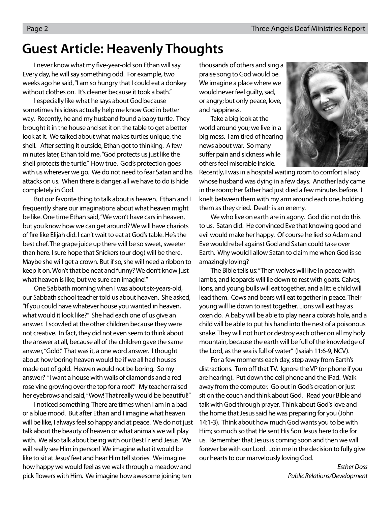### **Guest Article: Heavenly Thoughts**

I never know what my five-year-old son Ethan will say. Every day, he will say something odd. For example, two weeks ago he said, "I am so hungry that I could eat a donkey without clothes on. It's cleaner because it took a bath."

 I especially like what he says about God because sometimes his ideas actually help me know God in better way. Recently, he and my husband found a baby turtle. They brought it in the house and set it on the table to get a better look at it. We talked about what makes turtles unique, the shell. After setting it outside, Ethan got to thinking. A few minutes later, Ethan told me, "God protects us just like the shell protects the turtle." How true. God's protection goes with us wherever we go. We do not need to fear Satan and his attacks on us. When there is danger, all we have to do is hide completely in God.

 But our favorite thing to talk about is heaven. Ethan and I frequently share our imaginations about what heaven might be like. One time Ethan said, "We won't have cars in heaven, but you know how we can get around? We will have chariots of fire like Elijah did. I can't wait to eat at God's table. He's the best chef. The grape juice up there will be so sweet, sweeter than here. I sure hope that Snickers (our dog) will be there. Maybe she will get a crown. But if so, she will need a ribbon to keep it on. Won't that be neat and funny? We don't know just what heaven is like, but we sure can imagine!"

 One Sabbath morning when I was about six-years-old, our Sabbath school teacher told us about heaven. She asked, "If you could have whatever house you wanted in heaven, what would it look like?" She had each one of us give an answer. I scowled at the other children because they were not creative. In fact, they did not even seem to think about the answer at all, because all of the children gave the same answer, "Gold." That was it, a one word answer. I thought about how boring heaven would be if we all had houses made out of gold. Heaven would not be boring. So my answer? "I want a house with walls of diamonds and a red rose vine growing over the top for a roof." My teacher raised her eyebrows and said, "Wow! That really would be beautiful!"

 I noticed something. There are times when I am in a bad or a blue mood. But after Ethan and I imagine what heaven will be like, I always feel so happy and at peace. We do not just talk about the beauty of heaven or what animals we will play with. We also talk about being with our Best Friend Jesus. We will really see Him in person! We imagine what it would be like to sit at Jesus' feet and hear Him tell stories. We imagine how happy we would feel as we walk through a meadow and pick flowers with Him. We imagine how awesome joining ten

thousands of others and sing a praise song to God would be. We imagine a place where we would never feel guilty, sad, or angry; but only peace, love, and happiness.

 Take a big look at the world around you; we live in a big mess. I am tired of hearing news about war. So many suffer pain and sickness while others feel miserable inside.



Recently, I was in a hospital waiting room to comfort a lady whose husband was dying in a few days. Another lady came in the room; her father had just died a few minutes before. I knelt between them with my arm around each one, holding them as they cried. Death is an enemy.

 We who live on earth are in agony. God did not do this to us. Satan did. He convinced Eve that knowing good and evil would make her happy. Of course he lied so Adam and Eve would rebel against God and Satan could take over Earth. Why would I allow Satan to claim me when God is so amazingly loving?

 The Bible tells us: "Then wolves will live in peace with lambs, and leopards will lie down to rest with goats. Calves, lions, and young bulls will eat together, and a little child will lead them. Cows and bears will eat together in peace. Their young will lie down to rest together. Lions will eat hay as oxen do. A baby will be able to play near a cobra's hole, and a child will be able to put his hand into the nest of a poisonous snake. They will not hurt or destroy each other on all my holy mountain, because the earth will be full of the knowledge of the Lord, as the sea is full of water" (Isaiah 11:6-9, NCV).

 For a few moments each day, step away from Earth's distractions. Turn off that TV. Ignore the VP (or phone if you are hearing). Put down the cell phone and the iPad. Walk away from the computer. Go out in God's creation or just sit on the couch and think about God. Read your Bible and talk with God through prayer. Think about God's love and the home that Jesus said he was preparing for you (John 14:1-3). Think about how much God wants you to be with Him; so much so that He sent His Son Jesus here to die for us. Remember that Jesus is coming soon and then we will forever be with our Lord. Join me in the decision to fully give our hearts to our marvelously loving God.

> Esther Doss Public Relations/Development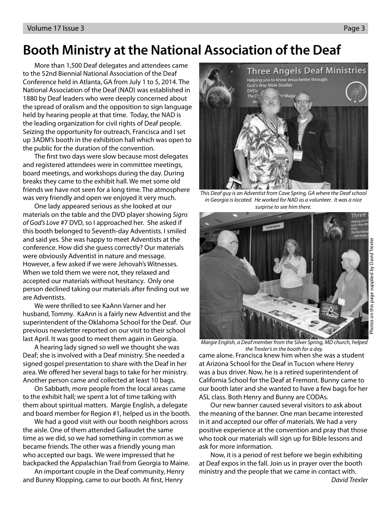### **Booth Ministry at the National Association of the Deaf**

 More than 1,500 Deaf delegates and attendees came to the 52nd Biennial National Association of the Deaf Conference held in Atlanta, GA from July 1 to 5, 2014. The National Association of the Deaf (NAD) was established in 1880 by Deaf leaders who were deeply concerned about the spread of oralism and the opposition to sign language held by hearing people at that time. Today, the NAD is the leading organization for civil rights of Deaf people. Seizing the opportunity for outreach, Francisca and I set up 3ADM's booth in the exhibition hall which was open to the public for the duration of the convention.

The first two days were slow because most delegates and registered attendees were in committee meetings, board meetings, and workshops during the day. During breaks they came to the exhibit hall. We met some old friends we have not seen for a long time. The atmosphere was very friendly and open we enjoyed it very much.

 One lady appeared serious as she looked at our materials on the table and the DVD player showing Signs of God's Love #7 DVD, so I approached her. She asked if this booth belonged to Seventh-day Adventists. I smiled and said yes. She was happy to meet Adventists at the conference. How did she guess correctly? Our materials were obviously Adventist in nature and message. However, a few asked if we were Jehovah's Witnesses. When we told them we were not, they relaxed and accepted our materials without hesitancy. Only one person declined taking our materials after finding out we are Adventists.

 We were thrilled to see KaAnn Varner and her husband, Tommy. KaAnn is a fairly new Adventist and the superintendent of the Oklahoma School for the Deaf. Our previous newsletter reported on our visit to their school last April. It was good to meet them again in Georgia.

 A hearing lady signed so well we thought she was Deaf; she is involved with a Deaf ministry. She needed a signed gospel presentation to share with the Deaf in her area. We offered her several bags to take for her ministry. Another person came and collected at least 10 bags.

 On Sabbath, more people from the local areas came to the exhibit hall; we spent a lot of time talking with them about spiritual matters. Margie English, a delegate and board member for Region #1, helped us in the booth.

We had a good visit with our booth neighbors across the aisle. One of them attended Gallaudet the same time as we did, so we had something in common as we became friends. The other was a friendly young man who accepted our bags. We were impressed that he backpacked the Appalachian Trail from Georgia to Maine.

 An important couple in the Deaf community, Henry and Bunny Klopping, came to our booth. At first, Henry



This Deaf guy is an Adventist from Cave Spring, GA where the Deaf school in Georgia is located. He worked for NAD as a volunteer. It was a nice surprise to see him there.



Margie English, a Deaf member from the Silver Spring, MD church, helped the Trexler's in the booth for a day.

came alone. Francisca knew him when she was a student at Arizona School for the Deaf in Tucson where Henry was a bus driver. Now, he is a retired superintendent of California School for the Deaf at Fremont. Bunny came to our booth later and she wanted to have a few bags for her ASL class. Both Henry and Bunny are CODAs.

 Our new banner caused several visitors to ask about the meaning of the banner. One man became interested in it and accepted our offer of materials. We had a very positive experience at the convention and pray that those who took our materials will sign up for Bible lessons and ask for more information.

 Now, it is a period of rest before we begin exhibiting at Deaf expos in the fall. Join us in prayer over the booth ministry and the people that we came in contact with. David Trexler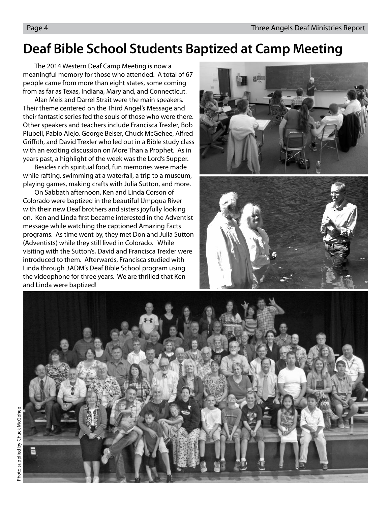### **Deaf Bible School Students Baptized at Camp Meeting**

The 2014 Western Deaf Camp Meeting is now a meaningful memory for those who attended. A total of 67 people came from more than eight states, some coming from as far as Texas, Indiana, Maryland, and Connecticut.

Alan Meis and Darrel Strait were the main speakers. Their theme centered on the Third Angel's Message and their fantastic series fed the souls of those who were there. Other speakers and teachers include Francisca Trexler, Bob Plubell, Pablo Alejo, George Belser, Chuck McGehee, Alfred Griffith, and David Trexler who led out in a Bible study class with an exciting discussion on More Than a Prophet. As in years past, a highlight of the week was the Lord's Supper.

Besides rich spiritual food, fun memories were made while rafting, swimming at a waterfall, a trip to a museum, playing games, making crafts with Julia Sutton, and more.

On Sabbath afternoon, Ken and Linda Corson of Colorado were baptized in the beautiful Umpqua River with their new Deaf brothers and sisters joyfully looking on. Ken and Linda first became interested in the Adventist message while watching the captioned Amazing Facts programs. As time went by, they met Don and Julia Sutton (Adventists) while they still lived in Colorado. While visiting with the Sutton's, David and Francisca Trexler were introduced to them. Afterwards, Francisca studied with Linda through 3ADM's Deaf Bible School program using the videophone for three years. We are thrilled that Ken and Linda were baptized!





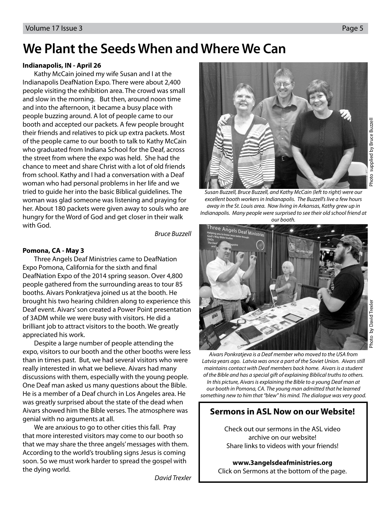### **We Plant the Seeds When and Where We Can**

#### **Indianapolis, IN - April 26**

Kathy McCain joined my wife Susan and I at the Indianapolis DeafNation Expo. There were about 2,400 people visiting the exhibition area. The crowd was small and slow in the morning. But then, around noon time and into the afternoon, it became a busy place with people buzzing around. A lot of people came to our booth and accepted our packets. A few people brought their friends and relatives to pick up extra packets. Most of the people came to our booth to talk to Kathy McCain who graduated from Indiana School for the Deaf, across the street from where the expo was held. She had the chance to meet and share Christ with a lot of old friends from school. Kathy and I had a conversation with a Deaf woman who had personal problems in her life and we tried to guide her into the basic Biblical guidelines. The woman was glad someone was listening and praying for her. About 180 packets were given away to souls who are hungry for the Word of God and get closer in their walk with God.

Bruce Buzzell

#### **Pomona, CA - May 3**

Three Angels Deaf Ministries came to DeafNation Expo Pomona, California for the sixth and final DeafNation Expo of the 2014 spring season. Over 4,800 people gathered from the surrounding areas to tour 85 booths. Aivars Ponkratjeva joined us at the booth. He brought his two hearing children along to experience this Deaf event. Aivars' son created a Power Point presentation of 3ADM while we were busy with visitors. He did a brilliant job to attract visitors to the booth. We greatly appreciated his work.

Despite a large number of people attending the expo, visitors to our booth and the other booths were less than in times past. But, we had several visitors who were really interested in what we believe. Aivars had many discussions with them, especially with the young people. One Deaf man asked us many questions about the Bible. He is a member of a Deaf church in Los Angeles area. He was greatly surprised about the state of the dead when Aivars showed him the Bible verses. The atmosphere was genial with no arguments at all.

We are anxious to go to other cities this fall. Pray that more interested visitors may come to our booth so that we may share the three angels' messages with them. According to the world's troubling signs Jesus is coming soon. So we must work harder to spread the gospel with the dying world.

David Trexler



Susan Buzzell, Bruce Buzzell, and Kathy McCain (left to right) were our excellent booth workers in Indianapolis. The Buzzell's live a few hours away in the St. Louis area. Now living in Arkansas, Kathy grew up in Indianapolis. Many people were surprised to see their old school friend at our booth.



Aivars Ponkratjeva is a Deaf member who moved to the USA from Latvia years ago. Latvia was once a part of the Soviet Union. Aivars still maintains contact with Deaf members back home. Aivars is a student of the Bible and has a special gift of explaining Biblical truths to others. In this picture, Aivars is explaining the Bible to a young Deaf man at our booth in Pomona, CA. The young man admitted that he learned something new to him that "blew" his mind. The dialogue was very good.

#### **Sermons in ASL Now on our Website!**

Check out our sermons in the ASL video archive on our website! Share links to videos with your friends!

**www.3angelsdeafministries.org** Click on Sermons at the bottom of the page.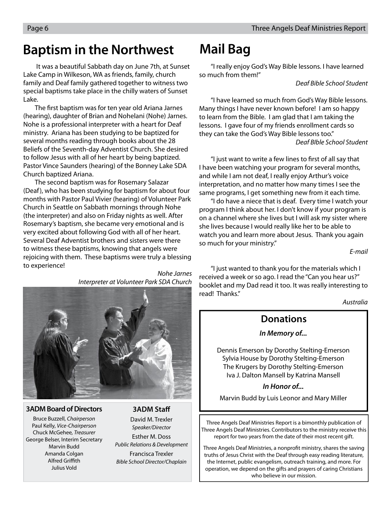### **Baptism in the Northwest Mail Bag**

 It was a beautiful Sabbath day on June 7th, at Sunset Lake Camp in Wilkeson, WA as friends, family, church family and Deaf family gathered together to witness two special baptisms take place in the chilly waters of Sunset Lake.

The first baptism was for ten year old Ariana Jarnes (hearing), daughter of Brian and Nohelani (Nohe) Jarnes. Nohe is a professional interpreter with a heart for Deaf ministry. Ariana has been studying to be baptized for several months reading through books about the 28 Beliefs of the Seventh-day Adventist Church. She desired to follow Jesus with all of her heart by being baptized. Pastor Vince Saunders (hearing) of the Bonney Lake SDA Church baptized Ariana.

The second baptism was for Rosemary Salazar (Deaf), who has been studying for baptism for about four months with Pastor Paul Vivier (hearing) of Volunteer Park Church in Seattle on Sabbath mornings through Nohe (the interpreter) and also on Friday nights as well. After Rosemary's baptism, she became very emotional and is very excited about following God with all of her heart. Several Deaf Adventist brothers and sisters were there to witness these baptisms, knowing that angels were rejoicing with them. These baptisms were truly a blessing to experience!

> Nohe Jarnes Interpreter at Volunteer Park SDA Church



**3ADM Board of Directors**

Bruce Buzzell, Chairperson Paul Kelly, Vice-Chairperson Chuck McGehee, Treasurer George Belser, Interim Secretary Marvin Budd Amanda Colgan Alfred Griffith Julius Vold

#### **3ADM Staff**

David M. Trexler Speaker/Director Esther M. Doss Public Relations & Development Francisca Trexler Bible School Director/Chaplain

"I really enjoy God's Way Bible lessons. I have learned so much from them!"

Deaf Bible School Student

"I have learned so much from God's Way Bible lessons. Many things I have never known before! I am so happy to learn from the Bible. I am glad that I am taking the lessons. I gave four of my friends enrollment cards so they can take the God's Way Bible lessons too." Deaf BIble School Student

"I just want to write a few lines to first of all say that I have been watching your program for several months, and while I am not deaf, I really enjoy Arthur's voice interpretation, and no matter how many times I see the same programs, I get something new from it each time.

"I do have a niece that is deaf. Every time I watch your program I think about her. I don't know if your program is on a channel where she lives but I will ask my sister where she lives because I would really like her to be able to watch you and learn more about Jesus. Thank you again so much for your ministry."

E-mail

"I just wanted to thank you for the materials which I received a week or so ago. I read the "Can you hear us?" booklet and my Dad read it too. It was really interesting to read! Thanks."

Australia

### **Donations**

**In Memory of...**

Dennis Emerson by Dorothy Stelting-Emerson Sylvia House by Dorothy Stelting-Emerson The Krugers by Dorothy Stelting-Emerson Iva J. Dalton Mansell by Katrina Mansell

#### **In Honor of...**

Marvin Budd by Luis Leonor and Mary Miller

Three Angels Deaf Ministries Report is a bimonthly publication of Three Angels Deaf Ministries. Contributors to the ministry receive this report for two years from the date of their most recent gift.

Three Angels Deaf Ministries, a nonprofit ministry, shares the saving truths of Jesus Christ with the Deaf through easy reading literature, the Internet, public evangelism, outreach training, and more. For operation, we depend on the gifts and prayers of caring Christians who believe in our mission.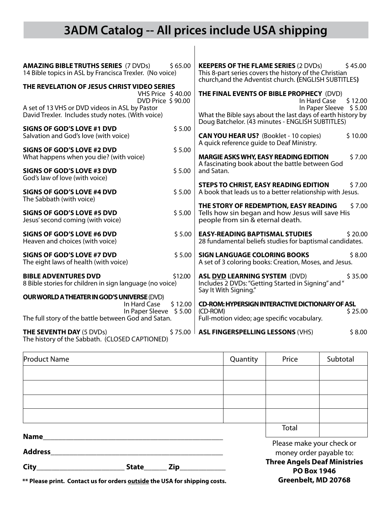### **3ADM Catalog -- All prices include USA shipping**

 $\overline{\phantom{a}}$ 

| <b>AMAZING BIBLE TRUTHS SERIES (7 DVDs)</b><br>\$65.00<br>14 Bible topics in ASL by Francisca Trexler. (No voice)                                              | <b>KEEPERS OF THE FLAME SERIES (2 DVDs)</b><br>\$45.00<br>This 8-part series covers the history of the Christian<br>church, and the Adventist church. (ENGLISH SUBTITLES) |
|----------------------------------------------------------------------------------------------------------------------------------------------------------------|---------------------------------------------------------------------------------------------------------------------------------------------------------------------------|
| THE REVELATION OF JESUS CHRIST VIDEO SERIES<br>VHS Price \$40.00<br>DVD Price \$90.00                                                                          | THE FINAL EVENTS OF BIBLE PROPHECY (DVD)<br>In Hard Case<br>\$12.00                                                                                                       |
| A set of 13 VHS or DVD videos in ASL by Pastor<br>David Trexler. Includes study notes. (With voice)                                                            | In Paper Sleeve \$5.00<br>What the Bible says about the last days of earth history by<br>Doug Batchelor. (43 minutes - ENGLISH SUBTITLES)                                 |
| \$5.00<br>SIGNS OF GOD'S LOVE #1 DVD<br>Salvation and God's love (with voice)                                                                                  | <b>CAN YOU HEAR US?</b> (Booklet - 10 copies)<br>\$10.00<br>A quick reference quide to Deaf Ministry.                                                                     |
| SIGNS OF GOD'S LOVE #2 DVD<br>\$5.00<br>What happens when you die? (with voice)                                                                                | \$7.00<br><b>MARGIE ASKS WHY, EASY READING EDITION</b><br>A fascinating book about the battle between God                                                                 |
| <b>SIGNS OF GOD'S LOVE #3 DVD</b><br>\$5.00<br>God's law of love (with voice)                                                                                  | and Satan.                                                                                                                                                                |
| SIGNS OF GOD'S LOVE #4 DVD<br>\$5.00<br>The Sabbath (with voice)                                                                                               | \$7.00<br><b>STEPS TO CHRIST, EASY READING EDITION</b><br>A book that leads us to a better relationship with Jesus.                                                       |
| SIGNS OF GOD'S LOVE #5 DVD<br>\$5.00<br>Jesus' second coming (with voice)                                                                                      | THE STORY OF REDEMPTION, EASY READING<br>\$7.00<br>Tells how sin began and how Jesus will save His<br>people from sin & eternal death.                                    |
| <b>SIGNS OF GOD'S LOVE #6 DVD</b><br>\$5.00<br>Heaven and choices (with voice)                                                                                 | <b>EASY-READING BAPTISMAL STUDIES</b><br>\$20.00<br>28 fundamental beliefs studies for baptismal candidates.                                                              |
| <b>SIGNS OF GOD'S LOVE #7 DVD</b><br>\$5.00<br>The eight laws of health (with voice)                                                                           | <b>SIGN LANGUAGE COLORING BOOKS</b><br>\$8.00<br>A set of 3 coloring books: Creation, Moses, and Jesus.                                                                   |
| <b>BIBLE ADVENTURES DVD</b><br>\$12.00<br>8 Bible stories for children in sign language (no voice)                                                             | <b>ASL DVD LEARNING SYSTEM (DVD)</b><br>\$35.00<br>Includes 2 DVDs: "Getting Started in Signing" and "<br>Say It With Signing."                                           |
| <b>OUR WORLD A THEATER IN GOD'S UNIVERSE (DVD)</b><br>In Hard Case<br>\$12.00<br>In Paper Sleeve \$5.00<br>The full story of the battle between God and Satan. | <b>CD-ROM: HYPERSIGN INTERACTIVE DICTIONARY OF ASL</b><br>(CD-ROM)<br>\$25.00<br>Full-motion video; age specific vocabulary.                                              |
| <b>THE SEVENTH DAY (5 DVDs)</b><br>\$75.00<br>The history of the Sabbath. (CLOSED CAPTIONED)                                                                   | <b>ASL FINGERSPELLING LESSONS (VHS)</b><br>\$8.00                                                                                                                         |

| <b>Product Name</b>         |  |                                                           | Quantity                                             | Price | Subtotal |
|-----------------------------|--|-----------------------------------------------------------|------------------------------------------------------|-------|----------|
|                             |  |                                                           |                                                      |       |          |
|                             |  |                                                           |                                                      |       |          |
|                             |  |                                                           |                                                      |       |          |
|                             |  |                                                           |                                                      |       |          |
|                             |  |                                                           |                                                      | Total |          |
| Name_<br><b>Address</b>     |  |                                                           | Please make your check or<br>money order payable to: |       |          |
| City<br>Zip<br><b>State</b> |  | <b>Three Angels Deaf Ministries</b><br><b>PO Box 1946</b> |                                                      |       |          |

**Greenbelt, MD 20768**

**\*\* Please print. Contact us for orders outside the USA for shipping costs.**